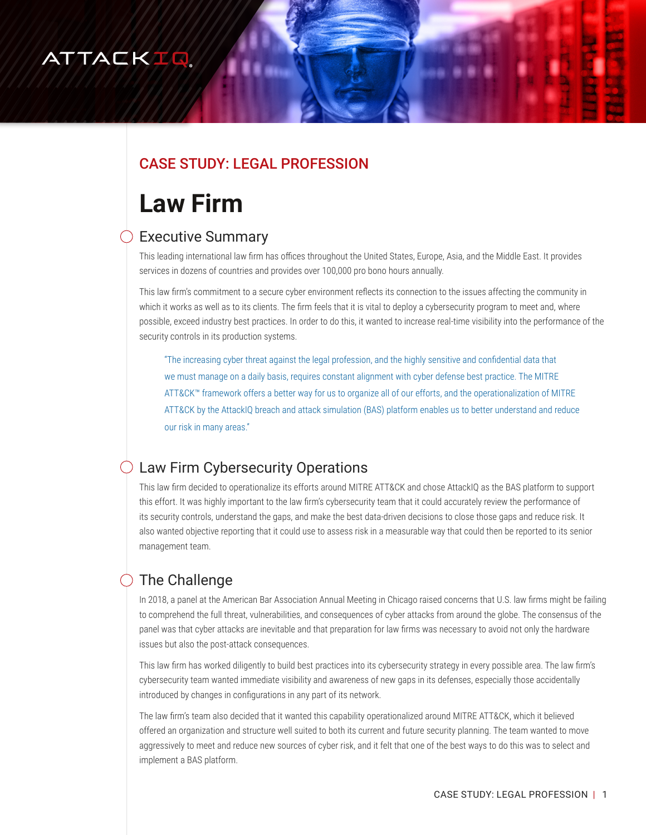## ATTACKIQ

## CASE STUDY: LEGAL PROFESSION

# **Law Firm**

## $\bigcirc$  Executive Summary

This leading international law firm has offices throughout the United States, Europe, Asia, and the Middle East. It provides services in dozens of countries and provides over 100,000 pro bono hours annually.

This law firm's commitment to a secure cyber environment reflects its connection to the issues affecting the community in which it works as well as to its clients. The firm feels that it is vital to deploy a cybersecurity program to meet and, where possible, exceed industry best practices. In order to do this, it wanted to increase real-time visibility into the performance of the security controls in its production systems.

"The increasing cyber threat against the legal profession, and the highly sensitive and confidential data that we must manage on a daily basis, requires constant alignment with cyber defense best practice. The MITRE ATT&CK™ framework offers a better way for us to organize all of our efforts, and the operationalization of MITRE ATT&CK by the AttackIQ breach and attack simulation (BAS) platform enables us to better understand and reduce our risk in many areas."

## Law Firm Cybersecurity Operations

This law firm decided to operationalize its efforts around MITRE ATT&CK and chose AttackIQ as the BAS platform to support this effort. It was highly important to the law firm's cybersecurity team that it could accurately review the performance of its security controls, understand the gaps, and make the best data-driven decisions to close those gaps and reduce risk. It also wanted objective reporting that it could use to assess risk in a measurable way that could then be reported to its senior management team.

## The Challenge

In 2018, a panel at the American Bar Association Annual Meeting in Chicago raised concerns that U.S. law firms might be failing to comprehend the full threat, vulnerabilities, and consequences of cyber attacks from around the globe. The consensus of the panel was that cyber attacks are inevitable and that preparation for law firms was necessary to avoid not only the hardware issues but also the post-attack consequences.

This law firm has worked diligently to build best practices into its cybersecurity strategy in every possible area. The law firm's cybersecurity team wanted immediate visibility and awareness of new gaps in its defenses, especially those accidentally introduced by changes in configurations in any part of its network.

The law firm's team also decided that it wanted this capability operationalized around MITRE ATT&CK, which it believed offered an organization and structure well suited to both its current and future security planning. The team wanted to move aggressively to meet and reduce new sources of cyber risk, and it felt that one of the best ways to do this was to select and implement a BAS platform.